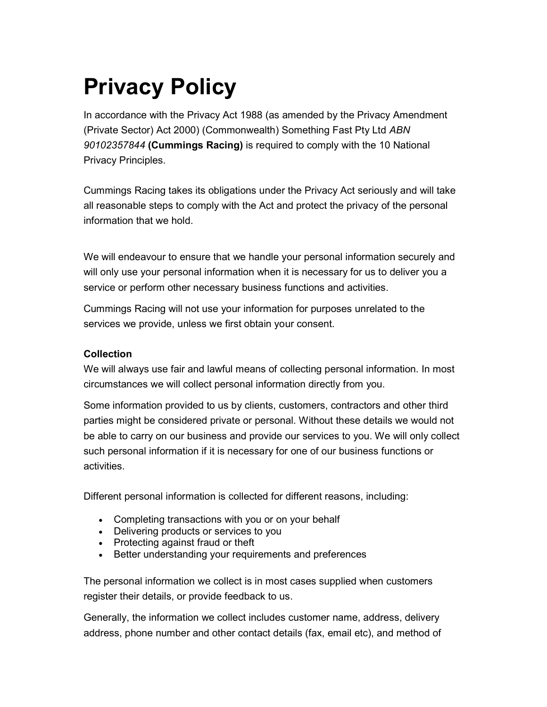# Privacy Policy

In accordance with the Privacy Act 1988 (as amended by the Privacy Amendment (Private Sector) Act 2000) (Commonwealth) Something Fast Pty Ltd ABN 90102357844 (Cummings Racing) is required to comply with the 10 National Privacy Principles.

Cummings Racing takes its obligations under the Privacy Act seriously and will take all reasonable steps to comply with the Act and protect the privacy of the personal information that we hold.

We will endeavour to ensure that we handle your personal information securely and will only use your personal information when it is necessary for us to deliver you a service or perform other necessary business functions and activities.

Cummings Racing will not use your information for purposes unrelated to the services we provide, unless we first obtain your consent.

## Collection

We will always use fair and lawful means of collecting personal information. In most circumstances we will collect personal information directly from you.

Some information provided to us by clients, customers, contractors and other third parties might be considered private or personal. Without these details we would not be able to carry on our business and provide our services to you. We will only collect such personal information if it is necessary for one of our business functions or activities.

Different personal information is collected for different reasons, including:

- Completing transactions with you or on your behalf
- Delivering products or services to you
- Protecting against fraud or theft
- Better understanding your requirements and preferences

The personal information we collect is in most cases supplied when customers register their details, or provide feedback to us.

Generally, the information we collect includes customer name, address, delivery address, phone number and other contact details (fax, email etc), and method of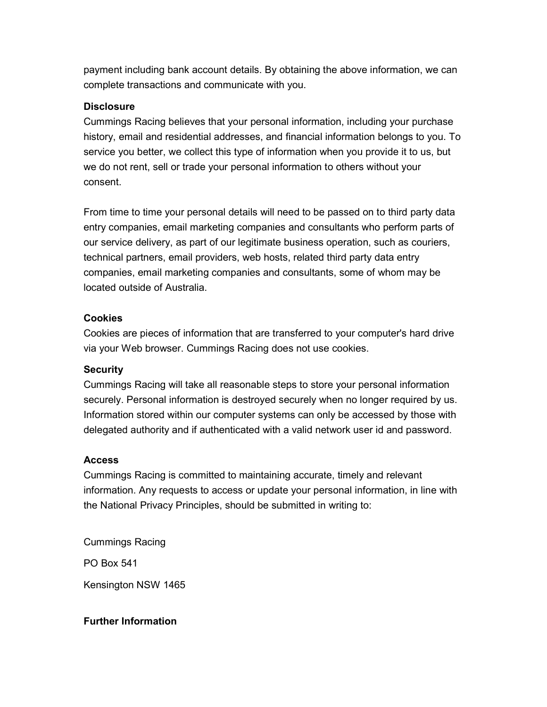payment including bank account details. By obtaining the above information, we can complete transactions and communicate with you.

## **Disclosure**

Cummings Racing believes that your personal information, including your purchase history, email and residential addresses, and financial information belongs to you. To service you better, we collect this type of information when you provide it to us, but we do not rent, sell or trade your personal information to others without your consent.

From time to time your personal details will need to be passed on to third party data entry companies, email marketing companies and consultants who perform parts of our service delivery, as part of our legitimate business operation, such as couriers, technical partners, email providers, web hosts, related third party data entry companies, email marketing companies and consultants, some of whom may be located outside of Australia.

## Cookies

Cookies are pieces of information that are transferred to your computer's hard drive via your Web browser. Cummings Racing does not use cookies.

## **Security**

Cummings Racing will take all reasonable steps to store your personal information securely. Personal information is destroyed securely when no longer required by us. Information stored within our computer systems can only be accessed by those with delegated authority and if authenticated with a valid network user id and password.

## **Access**

Cummings Racing is committed to maintaining accurate, timely and relevant information. Any requests to access or update your personal information, in line with the National Privacy Principles, should be submitted in writing to:

Cummings Racing

PO Box 541

Kensington NSW 1465

## Further Information